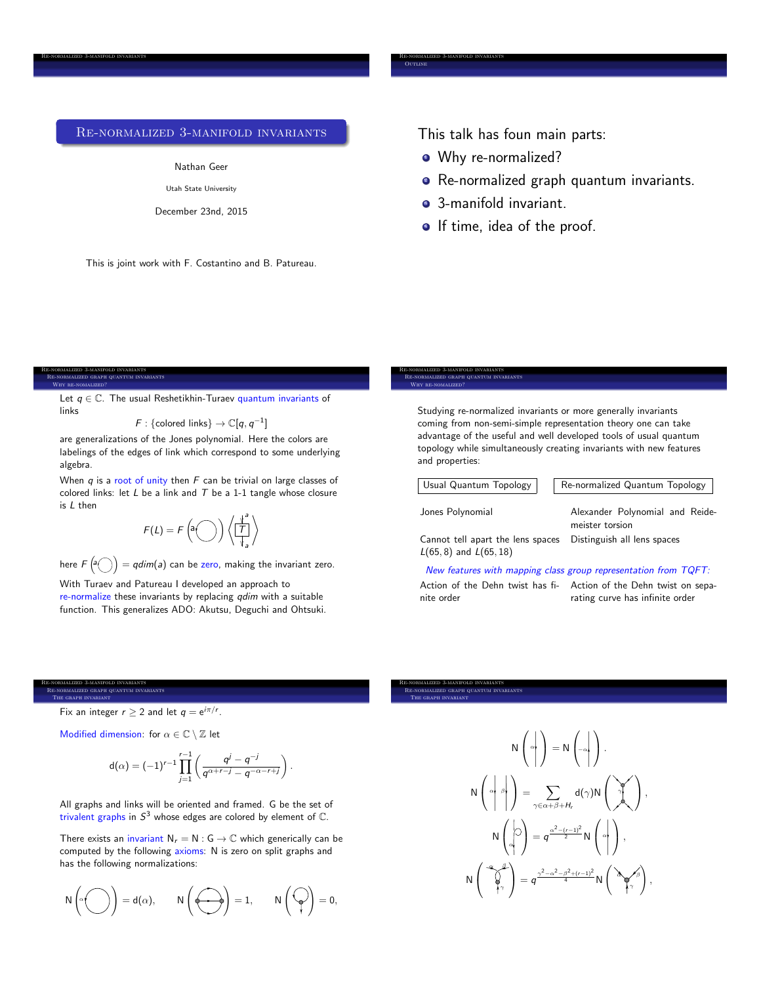# Re-normalized 3-manifold invariants

### Nathan Geer

Utah State University

December 23nd, 2015

This is joint work with F. Costantino and B. Patureau.

This talk has foun main parts:

• Why re-normalized?

Re-normalized 3-manifold invariants

**OUTLINE** 

- **•** Re-normalized graph quantum invariants.
- **3-manifold invariant.**
- **•** If time, idea of the proof.

#### Re-normalized 3-manifold invariants Re-normalized graph quantum invariants

Why re-nomalized?

Re-normalized 3-manifold invariants

Let  $q \in \mathbb{C}$ . The usual Reshetikhin-Turaev quantum invariants of links

 $F:$  {colored links}  $\rightarrow \mathbb{C}[q, q^{-1}]$ 

are generalizations of the Jones polynomial. Here the colors are labelings of the edges of link which correspond to some underlying algebra.

When *q* is a root of unity then *F* can be trivial on large classes of colored links: let *L* be a link and *T* be a 1-1 tangle whose closure is *L* then

$$
F(L) = F\left(\mathbf{a} \bigodot\right) \left\langle \frac{\mathbf{b}^2}{T} \right\rangle
$$

here  $F\left(\widehat{a(\,\,\,)}\right)=qdim(a)$  can be zero, making the invariant zero.

With Turaev and Patureau I developed an approach to re-normalize these invariants by replacing *qdim* with a suitable function. This generalizes ADO: Akutsu, Deguchi and Ohtsuki.

#### Re-normalized 3-manifold invariants Re-normalized graph quantum invariants Why re-nomalized?

Studying re-normalized invariants or more generally invariants coming from non-semi-simple representation theory one can take advantage of the useful and well developed tools of usual quantum topology while simultaneously creating invariants with new features and properties:

Re-normalized 3-manifold invariants **REALIZED GRAPH QUANTUM INVARIANTS** 

The graph invariant

```
Usual Quantum Topology \parallel Re-normalized Quantum Topology
```
Distinguish all lens spaces

Jones Polynomial Alexander Polynomial and Reidemeister torsion

Cannot tell apart the lens spaces *L*(65*,* 8) and *L*(65*,* 18)

### *New features with mapping class group representation from TQFT:*

Action of the Dehn twist has fi-Action of the Dehn twist on sepanite order

rating curve has infinite order

# MALIZED GRAPH QUANTUM INVARIANTS

Fix an integer  $r \geq 2$  and let  $q = e^{i\pi/r}$ .

Re-normalized 3-manifold invariants

The graph invariant

Modified dimension: for  $\alpha \in \mathbb{C} \setminus \mathbb{Z}$  let

$$
d(\alpha) = (-1)^{r-1} \prod_{j=1}^{r-1} \left( \frac{q^j - q^{-j}}{q^{\alpha+r-j} - q^{-\alpha-r+j}} \right).
$$

All graphs and links will be oriented and framed. G be the set of trivalent graphs in  $S<sup>3</sup>$  whose edges are colored by element of  $\mathbb{C}$ .

There exists an invariant  $N_r = N : G \to \mathbb{C}$  which generically can be computed by the following axioms: N is zero on split graphs and has the following normalizations:

$$
N\left(\alpha\bigodot\right)=d(\alpha),\qquad N\left(\bigodot\right)=1,\qquad N\left(\bigodot\right)=0,
$$

N  $\sqrt{ }$  $\int_0^{\infty}$ 1  $\vert$  = N  $\sqrt{ }$  $\vert -\alpha \vert$ 1  $\cdot$ N  $\sqrt{ }$  $\left| \begin{array}{c} \alpha & \beta \\ \end{array} \right|$ 1  $\Big\} = \sum$  $\gamma \in \alpha + \beta + H$ d $(\gamma)$ N  $\sqrt{ }$  $\begin{bmatrix} 0 \\ 0 \end{bmatrix}$ 1  $\vert$ , N  $\sqrt{ }$  $\frac{1}{\alpha}$  $\setminus$  $\left( \right) = q^{\frac{\alpha^2 - (r-1)^2}{2}} N$  $\sqrt{ }$  $\int$ 1  $\vert$ , N  $\sqrt{ }$  $\overline{1}$ ↵  $\gamma$ 1  $= q^{\frac{\gamma^2 - \alpha^2 - \beta^2 + (r-1)^2}{4}} N$  $\left(\begin{array}{c} \lambda & \ell \end{array}\right)$  $\gamma$ ! *,*